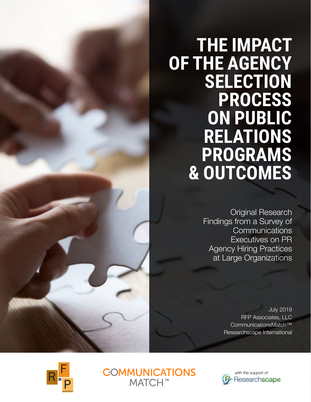# **THE IMPACT OF THE AGENCY SELECTION PROCESS ON PUBLIC RELATIONS PROGRAMS & OUTCOMES**

Original Research Findings from a Survey of **Communications** Executives on PR Agency Hiring Practices at Large Organizations

> July 2019 RFP Associates, LLC CommunicationsMatch™ Researchscape International





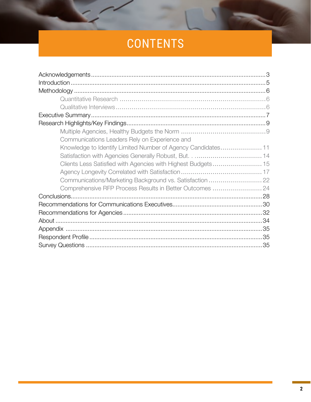# CONTENTS

| Communications Leaders Rely on Experience and                |  |
|--------------------------------------------------------------|--|
| Knowledge to Identify Limited Number of Agency Candidates 11 |  |
|                                                              |  |
| Clients Less Satisfied with Agencies with Highest Budgets 15 |  |
|                                                              |  |
| Communications/Marketing Background vs. Satisfaction  22     |  |
| Comprehensive RFP Process Results in Better Outcomes  24     |  |
|                                                              |  |
|                                                              |  |
|                                                              |  |
|                                                              |  |
|                                                              |  |
|                                                              |  |
|                                                              |  |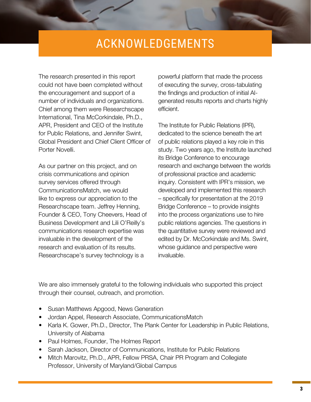### ACKNOWLEDGEMENTS

<span id="page-2-0"></span>The research presented in this report could not have been completed without the encouragement and support of a number of individuals and organizations. Chief among them were Researchscape International, Tina McCorkindale, Ph.D., APR, President and CEO of the Institute for Public Relations, and Jennifer Swint, Global President and Chief Client Officer of Porter Novelli.

As our partner on this project, and on crisis communications and opinion survey services offered through CommunicationsMatch, we would like to express our appreciation to the Researchscape team. Jeffrey Henning, Founder & CEO, Tony Cheevers, Head of Business Development and Lili O'Reilly's communications research expertise was invaluable in the development of the research and evaluation of its results. Researchscape's survey technology is a

powerful platform that made the process of executing the survey, cross-tabulating the findings and production of initial AIgenerated results reports and charts highly efficient.

The Institute for Public Relations (IPR), dedicated to the science beneath the art of public relations played a key role in this study. Two years ago, the Institute launched its Bridge Conference to encourage research and exchange between the worlds of professional practice and academic inquiry. Consistent with IPR's mission, we developed and implemented this research – specifically for presentation at the 2019 Bridge Conference – to provide insights into the process organizations use to hire public relations agencies. The questions in the quantitative survey were reviewed and edited by Dr. McCorkindale and Ms. Swint, whose guidance and perspective were invaluable.

We are also immensely grateful to the following individuals who supported this project through their counsel, outreach, and promotion.

- Susan Matthews Apgood, News Generation
- Jordan Appel, Research Associate, CommunicationsMatch
- Karla K. Gower, Ph.D., Director, The Plank Center for Leadership in Public Relations, University of Alabama
- Paul Holmes, Founder, The Holmes Report
- Sarah Jackson, Director of Communications, Institute for Public Relations
- Mitch Marovitz, Ph.D., APR, Fellow PRSA, Chair PR Program and Collegiate Professor, University of Maryland/Global Campus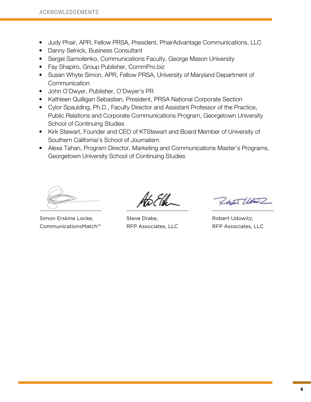- Judy Phair, APR, Fellow PRSA, President, PhairAdvantage Communications, LLC
- Danny Selnick, Business Consultant
- Sergei Samoilenko, Communications Faculty, George Mason University
- Fay Shapiro, Group Publisher, CommPro.biz
- Susan Whyte Simon, APR, Fellow PRSA, University of Maryland Department of **Communication**
- John O'Dwyer, Publisher, O'Dwyer's PR
- Kathleen Quilligan Sebastian, President, PRSA National Corporate Section
- Cylor Spaulding, Ph.D., Faculty Director and Assistant Professor of the Practice, Public Relations and Corporate Communications Program, Georgetown University School of Continuing Studies
- Kirk Stewart, Founder and CEO of KTStewart and Board Member of University of Southern California's School of Journalism.
- Alexa Tahan, Program Director, Marketing and Communications Master's Programs, Georgetown University School of Continuing Studies

Simon Erskine Locke, CommunicationsMatch™

Steve Drake, RFP Associates, LLC

Robert Utown

Robert Udowitz, RFP Associates, LLC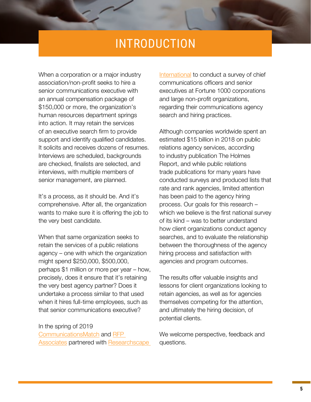### INTRODUCTION

<span id="page-4-0"></span>When a corporation or a major industry association/non-profit seeks to hire a senior communications executive with an annual compensation package of \$150,000 or more, the organization's human resources department springs into action. It may retain the services of an executive search firm to provide support and identify qualified candidates. It solicits and receives dozens of resumes. Interviews are scheduled, backgrounds are checked, finalists are selected, and interviews, with multiple members of senior management, are planned.

It's a process, as it should be. And it's comprehensive. After all, the organization wants to make sure it is offering the job to the very best candidate.

When that same organization seeks to retain the services of a public relations agency – one with which the organization might spend \$250,000, \$500,000, perhaps \$1 million or more per year – how, precisely, does it ensure that it's retaining the very best agency partner? Does it undertake a process similar to that used when it hires full-time employees, such as that senior communications executive?

In the spring of 2019 [CommunicationsMatch](http://www.communicationsmatch.com) and [RFP](http://www.rfpassociates.net)  [Associates](http://www.rfpassociates.net) partnered with Researchscape

[International](http://www.researchscape.com) to conduct a survey of chief communications officers and senior executives at Fortune 1000 corporations and large non-profit organizations, regarding their communications agency search and hiring practices.

Although companies worldwide spent an estimated \$15 billion in 2018 on public relations agency services, according to industry publication The Holmes Report, and while public relations trade publications for many years have conducted surveys and produced lists that rate and rank agencies, limited attention has been paid to the agency hiring process. Our goals for this research – which we believe is the first national survey of its kind – was to better understand how client organizations conduct agency searches, and to evaluate the relationship between the thoroughness of the agency hiring process and satisfaction with agencies and program outcomes.

The results offer valuable insights and lessons for client organizations looking to retain agencies, as well as for agencies themselves competing for the attention, and ultimately the hiring decision, of potential clients.

We welcome perspective, feedback and questions.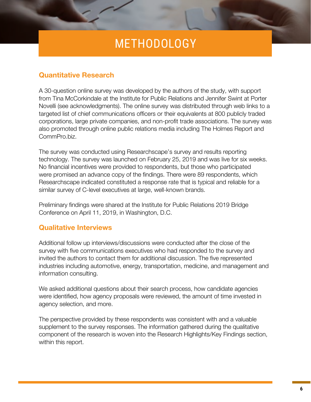# METHODOLOGY

#### <span id="page-5-0"></span>**Quantitative Research**

A 30-question online survey was developed by the authors of the study, with support from Tina McCorkindale at the Institute for Public Relations and Jennifer Swint at Porter Novelli (see acknowledgments). The online survey was distributed through web links to a targeted list of chief communications officers or their equivalents at 800 publicly traded corporations, large private companies, and non-profit trade associations. The survey was also promoted through online public relations media including The Holmes Report and CommPro.biz.

The survey was conducted using Researchscape's survey and results reporting technology. The survey was launched on February 25, 2019 and was live for six weeks. No financial incentives were provided to respondents, but those who participated were promised an advance copy of the findings. There were 89 respondents, which Researchscape indicated constituted a response rate that is typical and reliable for a similar survey of C-level executives at large, well-known brands.

Preliminary findings were shared at the Institute for Public Relations 2019 Bridge Conference on April 11, 2019, in Washington, D.C.

#### **Qualitative Interviews**

Additional follow up interviews/discussions were conducted after the close of the survey with five communications executives who had responded to the survey and invited the authors to contact them for additional discussion. The five represented industries including automotive, energy, transportation, medicine, and management and information consulting.

We asked additional questions about their search process, how candidate agencies were identified, how agency proposals were reviewed, the amount of time invested in agency selection, and more.

The perspective provided by these respondents was consistent with and a valuable supplement to the survey responses. The information gathered during the qualitative component of the research is woven into the Research Highlights/Key Findings section, within this report.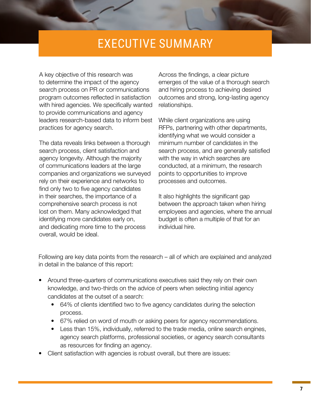## EXECUTIVE SUMMARY

<span id="page-6-0"></span>A key objective of this research was to determine the impact of the agency search process on PR or communications program outcomes reflected in satisfaction with hired agencies. We specifically wanted to provide communications and agency leaders research-based data to inform best practices for agency search.

The data reveals links between a thorough search process, client satisfaction and agency longevity. Although the majority of communications leaders at the large companies and organizations we surveyed rely on their experience and networks to find only two to five agency candidates in their searches, the importance of a comprehensive search process is not lost on them. Many acknowledged that identifying more candidates early on, and dedicating more time to the process overall, would be ideal.

Across the findings, a clear picture emerges of the value of a thorough search and hiring process to achieving desired outcomes and strong, long-lasting agency relationships.

While client organizations are using RFPs, partnering with other departments, identifying what we would consider a minimum number of candidates in the search process, and are generally satisfied with the way in which searches are conducted, at a minimum, the research points to opportunities to improve processes and outcomes.

It also highlights the significant gap between the approach taken when hiring employees and agencies, where the annual budget is often a multiple of that for an individual hire.

Following are key data points from the research – all of which are explained and analyzed in detail in the balance of this report:

- Around three-quarters of communications executives said they rely on their own knowledge, and two-thirds on the advice of peers when selecting initial agency candidates at the outset of a search:
	- 64% of clients identified two to five agency candidates during the selection process.
	- 67% relied on word of mouth or asking peers for agency recommendations.
	- Less than 15%, individually, referred to the trade media, online search engines, agency search platforms, professional societies, or agency search consultants as resources for finding an agency.
- Client satisfaction with agencies is robust overall, but there are issues: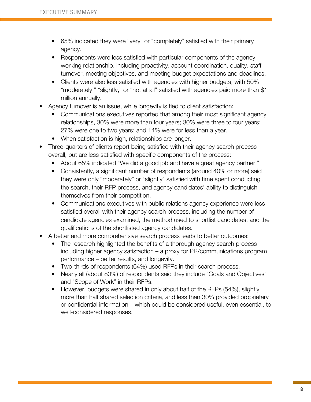- 65% indicated they were "very" or "completely" satisfied with their primary agency.
- Respondents were less satisfied with particular components of the agency working relationship, including proactivity, account coordination, quality, staff turnover, meeting objectives, and meeting budget expectations and deadlines.
- Clients were also less satisfied with agencies with higher budgets, with 50% "moderately," "slightly," or "not at all" satisfied with agencies paid more than \$1 million annually.
- Agency turnover is an issue, while longevity is tied to client satisfaction:
	- Communications executives reported that among their most significant agency relationships, 30% were more than four years; 30% were three to four years; 27% were one to two years; and 14% were for less than a year.
	- When satisfaction is high, relationships are longer.
- Three-quarters of clients report being satisfied with their agency search process overall, but are less satisfied with specific components of the process:
	- About 65% indicated "We did a good job and have a great agency partner."
	- Consistently, a significant number of respondents (around 40% or more) said they were only "moderately" or "slightly" satisfied with time spent conducting the search, their RFP process, and agency candidates' ability to distinguish themselves from their competition.
	- Communications executives with public relations agency experience were less satisfied overall with their agency search process, including the number of candidate agencies examined, the method used to shortlist candidates, and the qualifications of the shortlisted agency candidates.
- A better and more comprehensive search process leads to better outcomes:
	- The research highlighted the benefits of a thorough agency search process including higher agency satisfaction – a proxy for PR/communications program performance – better results, and longevity.
	- Two-thirds of respondents (64%) used RFPs in their search process.
	- Nearly all (about 80%) of respondents said they include "Goals and Objectives" and "Scope of Work" in their RFPs.
	- However, budgets were shared in only about half of the RFPs (54%), slightly more than half shared selection criteria, and less than 30% provided proprietary or confidential information – which could be considered useful, even essential, to well-considered responses.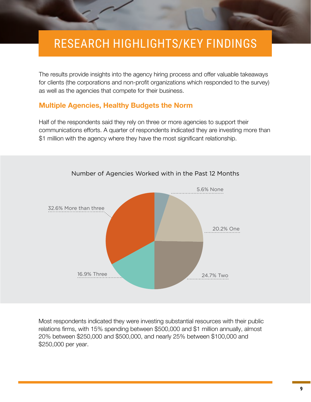## <span id="page-8-0"></span>RESEARCH HIGHLIGHTS/KEY FINDINGS

The results provide insights into the agency hiring process and offer valuable takeaways for clients (the corporations and non-profit organizations which responded to the survey) as well as the agencies that compete for their business.

#### **Multiple Agencies, Healthy Budgets the Norm**

Half of the respondents said they rely on three or more agencies to support their communications efforts. A quarter of respondents indicated they are investing more than \$1 million with the agency where they have the most significant relationship.



Number of Agencies Worked with in the Past 12 Months

Most respondents indicated they were investing substantial resources with their public relations firms, with 15% spending between \$500,000 and \$1 million annually, almost 20% between \$250,000 and \$500,000, and nearly 25% between \$100,000 and \$250,000 per year.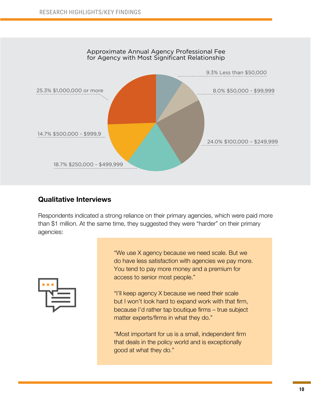

#### **Qualitative Interviews**

Respondents indicated a strong reliance on their primary agencies, which were paid more than \$1 million. At the same time, they suggested they were "harder" on their primary agencies:



"We use X agency because we need scale. But we do have less satisfaction with agencies we pay more. You tend to pay more money and a premium for access to senior most people."

"I'll keep agency X because we need their scale but I won't look hard to expand work with that firm, because I'd rather tap boutique firms – true subject matter experts/firms in what they do."

"Most important for us is a small, independent firm that deals in the policy world and is exceptionally good at what they do."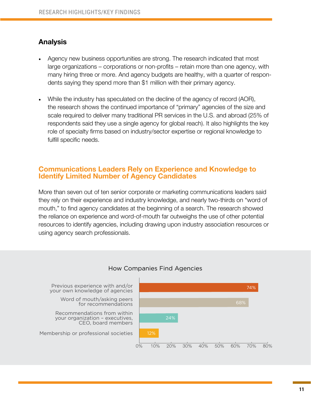#### <span id="page-10-0"></span>**Analysis**

- Agency new business opportunities are strong. The research indicated that most large organizations – corporations or non-profits – retain more than one agency, with many hiring three or more. And agency budgets are healthy, with a quarter of respondents saying they spend more than \$1 million with their primary agency.
- While the industry has speculated on the decline of the agency of record (AOR), the research shows the continued importance of "primary" agencies of the size and scale required to deliver many traditional PR services in the U.S. and abroad (25% of respondents said they use a single agency for global reach). It also highlights the key role of specialty firms based on industry/sector expertise or regional knowledge to fulfill specific needs.

#### **Communications Leaders Rely on Experience and Knowledge to Identify Limited Number of Agency Candidates**

More than seven out of ten senior corporate or marketing communications leaders said they rely on their experience and industry knowledge, and nearly two-thirds on "word of mouth," to find agency candidates at the beginning of a search. The research showed the reliance on experience and word-of-mouth far outweighs the use of other potential resources to identify agencies, including drawing upon industry association resources or using agency search professionals.



#### How Companies Find Agencies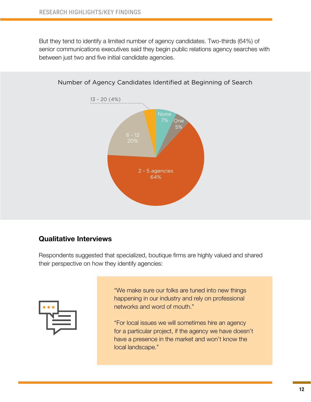But they tend to identify a limited number of agency candidates. Two-thirds (64%) of senior communications executives said they begin public relations agency searches with between just two and five initial candidate agencies.





#### **Qualitative Interviews**

Respondents suggested that specialized, boutique firms are highly valued and shared their perspective on how they identify agencies:



"We make sure our folks are tuned into new things happening in our industry and rely on professional networks and word of mouth."

"For local issues we will sometimes hire an agency for a particular project, if the agency we have doesn't have a presence in the market and won't know the local landscape."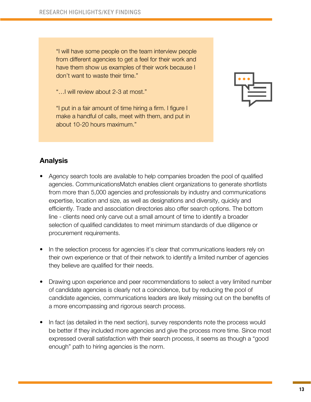"I will have some people on the team interview people from different agencies to get a feel for their work and have them show us examples of their work because I don't want to waste their time."

"…I will review about 2-3 at most."

"I put in a fair amount of time hiring a firm. I figure I make a handful of calls, meet with them, and put in about 10-20 hours maximum."



#### **Analysis**

- Agency search tools are available to help companies broaden the pool of qualified agencies. CommunicationsMatch enables client organizations to generate shortlists from more than 5,000 agencies and professionals by industry and communications expertise, location and size, as well as designations and diversity, quickly and efficiently. Trade and association directories also offer search options. The bottom line - clients need only carve out a small amount of time to identify a broader selection of qualified candidates to meet minimum standards of due diligence or procurement requirements.
- In the selection process for agencies it's clear that communications leaders rely on their own experience or that of their network to identify a limited number of agencies they believe are qualified for their needs.
- Drawing upon experience and peer recommendations to select a very limited number of candidate agencies is clearly not a coincidence, but by reducing the pool of candidate agencies, communications leaders are likely missing out on the benefits of a more encompassing and rigorous search process.
- In fact (as detailed in the next section), survey respondents note the process would be better if they included more agencies and give the process more time. Since most expressed overall satisfaction with their search process, it seems as though a "good enough" path to hiring agencies is the norm.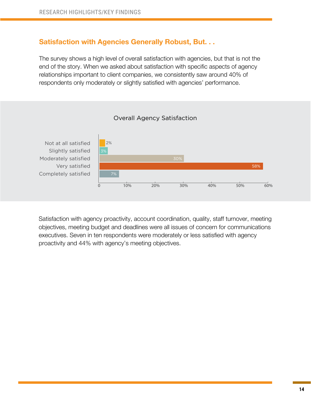#### <span id="page-13-0"></span>**Satisfaction with Agencies Generally Robust, But. . .**

The survey shows a high level of overall satisfaction with agencies, but that is not the end of the story. When we asked about satisfaction with specific aspects of agency relationships important to client companies, we consistently saw around 40% of respondents only moderately or slightly satisfied with agencies' performance.



#### Overall Agency Satisfaction

Satisfaction with agency proactivity, account coordination, quality, staff turnover, meeting objectives, meeting budget and deadlines were all issues of concern for communications executives. Seven in ten respondents were moderately or less satisfied with agency proactivity and 44% with agency's meeting objectives.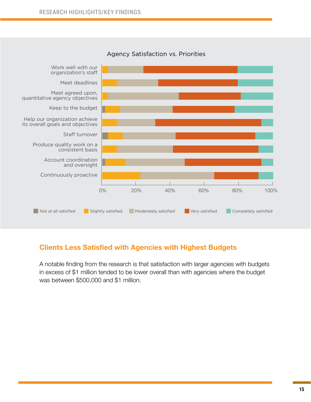<span id="page-14-0"></span>

#### Agency Satisfaction vs. Priorities

#### **Clients Less Satisfied with Agencies with Highest Budgets**

A notable finding from the research is that satisfaction with larger agencies with budgets in excess of \$1 million tended to be lower overall than with agencies where the budget was between \$500,000 and \$1 million.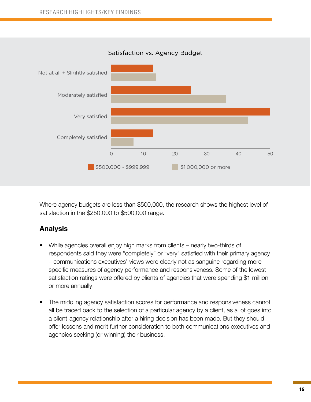

Where agency budgets are less than \$500,000, the research shows the highest level of satisfaction in the \$250,000 to \$500,000 range.

#### **Analysis**

- While agencies overall enjoy high marks from clients nearly two-thirds of respondents said they were "completely" or "very" satisfied with their primary agency – communications executives' views were clearly not as sanguine regarding more specific measures of agency performance and responsiveness. Some of the lowest satisfaction ratings were offered by clients of agencies that were spending \$1 million or more annually.
- The middling agency satisfaction scores for performance and responsiveness cannot all be traced back to the selection of a particular agency by a client, as a lot goes into a client-agency relationship after a hiring decision has been made. But they should offer lessons and merit further consideration to both communications executives and agencies seeking (or winning) their business.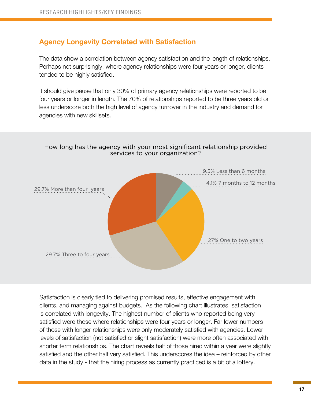#### <span id="page-16-0"></span>**Agency Longevity Correlated with Satisfaction**

The data show a correlation between agency satisfaction and the length of relationships. Perhaps not surprisingly, where agency relationships were four years or longer, clients tended to be highly satisfied.

It should give pause that only 30% of primary agency relationships were reported to be four years or longer in length. The 70% of relationships reported to be three years old or less underscore both the high level of agency turnover in the industry and demand for agencies with new skillsets.



How long has the agency with your most significant relationship provided services to your organization?

Satisfaction is clearly tied to delivering promised results, effective engagement with clients, and managing against budgets. As the following chart illustrates, satisfaction is correlated with longevity. The highest number of clients who reported being very satisfied were those where relationships were four years or longer. Far lower numbers of those with longer relationships were only moderately satisfied with agencies. Lower levels of satisfaction (not satisfied or slight satisfaction) were more often associated with shorter term relationships. The chart reveals half of those hired within a year were slightly satisfied and the other half very satisfied. This underscores the idea – reinforced by other data in the study - that the hiring process as currently practiced is a bit of a lottery.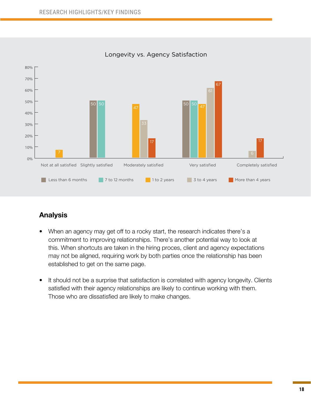

Longevity vs. Agency Satisfaction

#### **Analysis**

- When an agency may get off to a rocky start, the research indicates there's a commitment to improving relationships. There's another potential way to look at this. When shortcuts are taken in the hiring proces, client and agency expectations may not be aligned, requiring work by both parties once the relationship has been established to get on the same page.
- It should not be a surprise that satisfaction is correlated with agency longevity. Clients satisfied with their agency relationships are likely to continue working with them. Those who are dissatisfied are likely to make changes.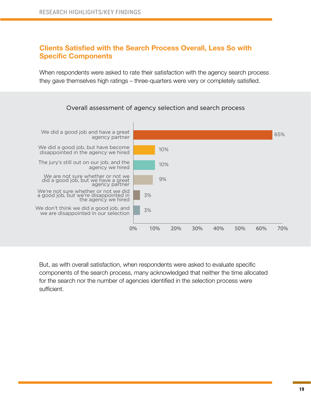#### **Clients Satisfied with the Search Process Overall, Less So with Specific Components**

When respondents were asked to rate their satisfaction with the agency search process they gave themselves high ratings – three-quarters were very or completely satisfied.



Overall assessment of agency selection and search process

But, as with overall satisfaction, when respondents were asked to evaluate specific components of the search process, many acknowledged that neither the time allocated for the search nor the number of agencies identified in the selection process were sufficient.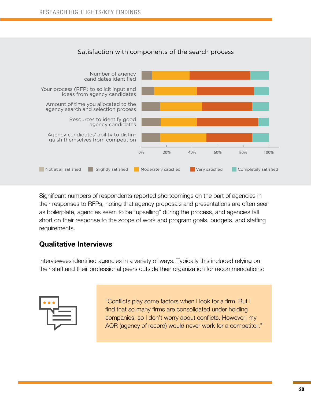

Satisfaction with components of the search process

Significant numbers of respondents reported shortcomings on the part of agencies in their responses to RFPs, noting that agency proposals and presentations are often seen as boilerplate, agencies seem to be "upselling" during the process, and agencies fall short on their response to the scope of work and program goals, budgets, and staffing requirements.

#### **Qualitative Interviews**

Interviewees identified agencies in a variety of ways. Typically this included relying on their staff and their professional peers outside their organization for recommendations:



"Conflicts play some factors when I look for a firm. But I find that so many firms are consolidated under holding companies, so I don't worry about conflicts. However, my AOR (agency of record) would never work for a competitor."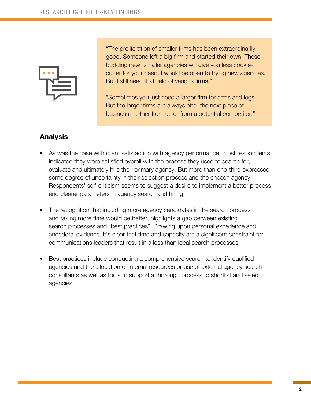

"The proliferation of smaller firms has been extraordinarily good. Someone left a big firm and started their own. These budding new, smaller agencies will give you less cookiecutter for your need. I would be open to trying new agencies. But I still need that field of various firms."

"Sometimes you just need a larger firm for arms and legs. But the larger firms are always after the next piece of business – either from us or from a potential competitor."

#### **Analysis**

- As was the case with client satisfaction with agency performance, most respondents indicated they were satisfied overall with the process they used to search for, evaluate and ultimately hire their primary agency. But more than one-third expressed some degree of uncertainty in their selection process and the chosen agency. Respondents' self-criticism seems to suggest a desire to implement a better process and clearer parameters in agency search and hiring.
- The recognition that including more agency candidates in the search process and taking more time would be better, highlights a gap between existing search processes and "best practices". Drawing upon personal experience and anecdotal evidence, it's clear that time and capacity are a significant constraint for communications leaders that result in a less than ideal search processes.
- Best practices include conducting a comprehensive search to identify qualified agencies and the allocation of internal resources or use of external agency search consultants as well as tools to support a thorough process to shortlist and select agencies.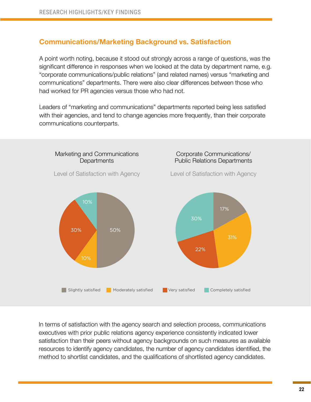#### <span id="page-21-0"></span>**Communications/Marketing Background vs. Satisfaction**

A point worth noting, because it stood out strongly across a range of questions, was the significant difference in responses when we looked at the data by department name, e.g. "corporate communications/public relations" (and related names) versus "marketing and communications" departments. There were also clear differences between those who had worked for PR agencies versus those who had not.

Leaders of "marketing and communications" departments reported being less satisfied with their agencies, and tend to change agencies more frequently, than their corporate communications counterparts.



In terms of satisfaction with the agency search and selection process, communications executives with prior public relations agency experience consistently indicated lower satisfaction than their peers without agency backgrounds on such measures as available resources to identify agency candidates, the number of agency candidates identified, the method to shortlist candidates, and the qualifications of shortlisted agency candidates.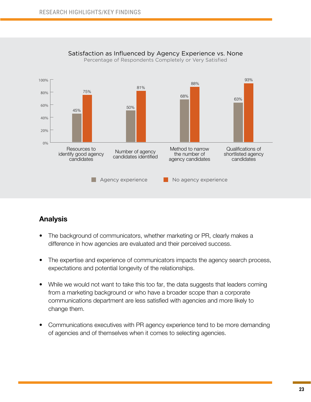

Satisfaction as Influenced by Agency Experience vs. None

Percentage of Respondents Completely or Very Satisfied

#### **Analysis**

- The background of communicators, whether marketing or PR, clearly makes a difference in how agencies are evaluated and their perceived success.
- The expertise and experience of communicators impacts the agency search process, expectations and potential longevity of the relationships.
- While we would not want to take this too far, the data suggests that leaders coming from a marketing background or who have a broader scope than a corporate communications department are less satisfied with agencies and more likely to change them.
- Communications executives with PR agency experience tend to be more demanding of agencies and of themselves when it comes to selecting agencies.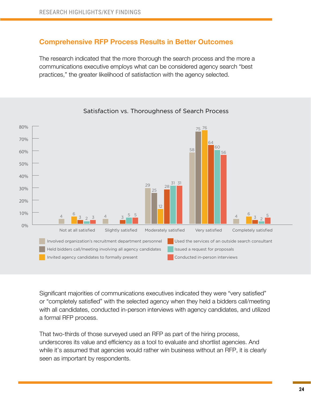#### <span id="page-23-0"></span>**Comprehensive RFP Process Results in Better Outcomes**

The research indicated that the more thorough the search process and the more a communications executive employs what can be considered agency search "best practices," the greater likelihood of satisfaction with the agency selected.



Satisfaction vs. Thoroughness of Search Process

Significant majorities of communications executives indicated they were "very satisfied" or "completely satisfied" with the selected agency when they held a bidders call/meeting with all candidates, conducted in-person interviews with agency candidates, and utilized a formal RFP process.

That two-thirds of those surveyed used an RFP as part of the hiring process, underscores its value and efficiency as a tool to evaluate and shortlist agencies. And while it's assumed that agencies would rather win business without an RFP, it is clearly seen as important by respondents.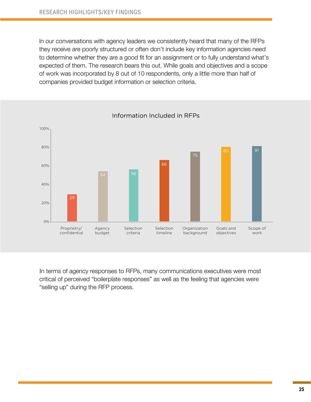In our conversations with agency leaders we consistently heard that many of the RFPs they receive are poorly structured or often don't include key information agencies need to determine whether they are a good fit for an assignment or to fully understand what's expected of them. The research bears this out. While goals and objectives and a scope of work was incorporated by 8 out of 10 respondents, only a little more than half of companies provided budget information or selection criteria.



Information Included in RFPs

In terms of agency responses to RFPs, many communications executives were most critical of perceived "boilerplate responses" as well as the feeling that agencies were "selling up" during the RFP process.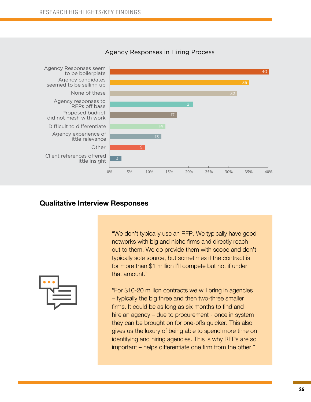

#### Agency Responses in Hiring Process

#### **Qualitative Interview Responses**



"We don't typically use an RFP. We typically have good networks with big and niche firms and directly reach out to them. We do provide them with scope and don't typically sole source, but sometimes if the contract is for more than \$1 million I'll compete but not if under that amount."

"For \$10-20 million contracts we will bring in agencies – typically the big three and then two-three smaller firms. It could be as long as six months to find and hire an agency – due to procurement - once in system they can be brought on for one-offs quicker. This also gives us the luxury of being able to spend more time on identifying and hiring agencies. This is why RFPs are so important – helps differentiate one firm from the other."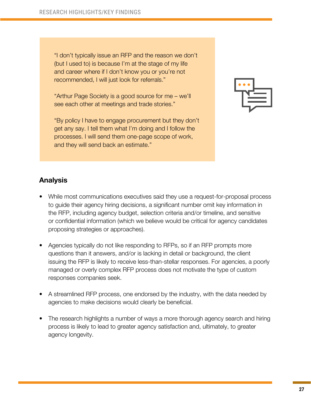"I don't typically issue an RFP and the reason we don't (but I used to) is because I'm at the stage of my life and career where if I don't know you or you're not recommended, I will just look for referrals."

"Arthur Page Society is a good source for me – we'll see each other at meetings and trade stories."

"By policy I have to engage procurement but they don't get any say. I tell them what I'm doing and I follow the processes. I will send them one-page scope of work, and they will send back an estimate."



#### **Analysis**

- While most communications executives said they use a request-for-proposal process to guide their agency hiring decisions, a significant number omit key information in the RFP, including agency budget, selection criteria and/or timeline, and sensitive or confidential information (which we believe would be critical for agency candidates proposing strategies or approaches).
- Agencies typically do not like responding to RFPs, so if an RFP prompts more questions than it answers, and/or is lacking in detail or background, the client issuing the RFP is likely to receive less-than-stellar responses. For agencies, a poorly managed or overly complex RFP process does not motivate the type of custom responses companies seek.
- A streamlined RFP process, one endorsed by the industry, with the data needed by agencies to make decisions would clearly be beneficial.
- The research highlights a number of ways a more thorough agency search and hiring process is likely to lead to greater agency satisfaction and, ultimately, to greater agency longevity.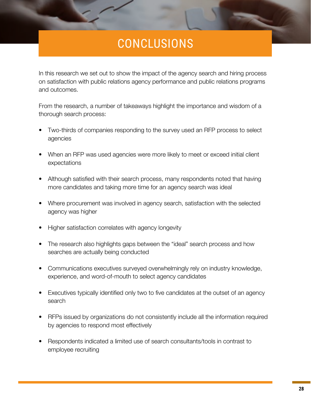# CONCLUSIONS

<span id="page-27-0"></span>In this research we set out to show the impact of the agency search and hiring process on satisfaction with public relations agency performance and public relations programs and outcomes.

From the research, a number of takeaways highlight the importance and wisdom of a thorough search process:

- Two-thirds of companies responding to the survey used an RFP process to select agencies
- When an RFP was used agencies were more likely to meet or exceed initial client expectations
- Although satisfied with their search process, many respondents noted that having more candidates and taking more time for an agency search was ideal
- Where procurement was involved in agency search, satisfaction with the selected agency was higher
- Higher satisfaction correlates with agency longevity
- The research also highlights gaps between the "ideal" search process and how searches are actually being conducted
- Communications executives surveyed overwhelmingly rely on industry knowledge, experience, and word-of-mouth to select agency candidates
- Executives typically identified only two to five candidates at the outset of an agency search
- RFPs issued by organizations do not consistently include all the information required by agencies to respond most effectively
- Respondents indicated a limited use of search consultants/tools in contrast to employee recruiting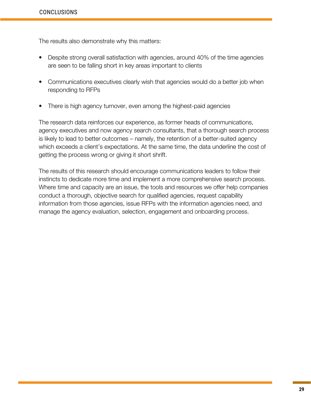The results also demonstrate why this matters:

- Despite strong overall satisfaction with agencies, around 40% of the time agencies are seen to be falling short in key areas important to clients
- Communications executives clearly wish that agencies would do a better job when responding to RFPs
- There is high agency turnover, even among the highest-paid agencies

The research data reinforces our experience, as former heads of communications, agency executives and now agency search consultants, that a thorough search process is likely to lead to better outcomes – namely, the retention of a better-suited agency which exceeds a client's expectations. At the same time, the data underline the cost of getting the process wrong or giving it short shrift.

The results of this research should encourage communications leaders to follow their instincts to dedicate more time and implement a more comprehensive search process. Where time and capacity are an issue, the tools and resources we offer help companies conduct a thorough, objective search for qualified agencies, request capability information from those agencies, issue RFPs with the information agencies need, and manage the agency evaluation, selection, engagement and onboarding process.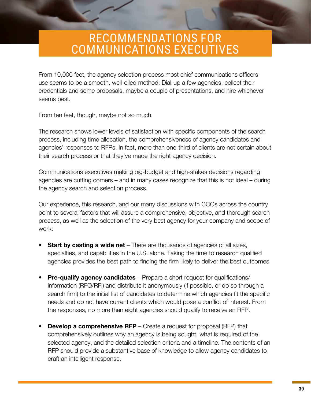### <span id="page-29-0"></span>RECOMMENDATIONS FOR COMMUNICATIONS EXECUTIVES

From 10,000 feet, the agency selection process most chief communications officers use seems to be a smooth, well-oiled method: Dial-up a few agencies, collect their credentials and some proposals, maybe a couple of presentations, and hire whichever seems best.

From ten feet, though, maybe not so much.

The research shows lower levels of satisfaction with specific components of the search process, including time allocation, the comprehensiveness of agency candidates and agencies' responses to RFPs. In fact, more than one-third of clients are not certain about their search process or that they've made the right agency decision.

Communications executives making big-budget and high-stakes decisions regarding agencies are cutting corners – and in many cases recognize that this is not ideal – during the agency search and selection process.

Our experience, this research, and our many discussions with CCOs across the country point to several factors that will assure a comprehensive, objective, and thorough search process, as well as the selection of the very best agency for your company and scope of work:

- **Start by casting a wide net** There are thousands of agencies of all sizes, specialties, and capabilities in the U.S. alone. Taking the time to research qualified agencies provides the best path to finding the firm likely to deliver the best outcomes.
- **Pre-qualify agency candidates** Prepare a short request for qualifications/ information (RFQ/RFI) and distribute it anonymously (if possible, or do so through a search firm) to the initial list of candidates to determine which agencies fit the specific needs and do not have current clients which would pose a conflict of interest. From the responses, no more than eight agencies should qualify to receive an RFP.
- **Develop a comprehensive RFP** Create a request for proposal (RFP) that comprehensively outlines why an agency is being sought, what is required of the selected agency, and the detailed selection criteria and a timeline. The contents of an RFP should provide a substantive base of knowledge to allow agency candidates to craft an intelligent response.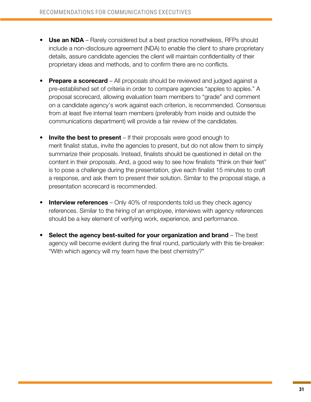- **• Use an NDA**  Rarely considered but a best practice nonetheless, RFPs should include a non-disclosure agreement (NDA) to enable the client to share proprietary details, assure candidate agencies the client will maintain confidentiality of their proprietary ideas and methods, and to confirm there are no conflicts.
- **• Prepare a scorecard** All proposals should be reviewed and judged against a pre-established set of criteria in order to compare agencies "apples to apples." A proposal scorecard, allowing evaluation team members to "grade" and comment on a candidate agency's work against each criterion, is recommended. Consensus from at least five internal team members (preferably from inside and outside the communications department) will provide a fair review of the candidates.
- **Invite the best to present** If their proposals were good enough to merit finalist status, invite the agencies to present, but do not allow them to simply summarize their proposals. Instead, finalists should be questioned in detail on the content in their proposals. And, a good way to see how finalists "think on their feet" is to pose a challenge during the presentation, give each finalist 15 minutes to craft a response, and ask them to present their solution. Similar to the proposal stage, a presentation scorecard is recommended.
- **Interview references** Only 40% of respondents told us they check agency references. Similar to the hiring of an employee, interviews with agency references should be a key element of verifying work, experience, and performance.
- **• Select the agency best-suited for your organization and brand** The best agency will become evident during the final round, particularly with this tie-breaker: "With which agency will my team have the best chemistry?"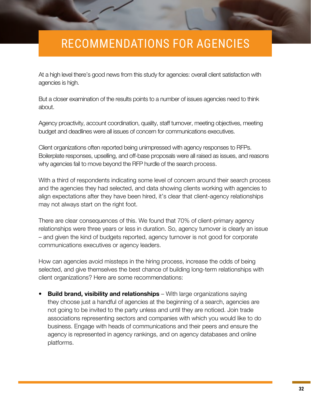# <span id="page-31-0"></span>RECOMMENDATIONS FOR AGENCIES

At a high level there's good news from this study for agencies: overall client satisfaction with agencies is high.

But a closer examination of the results points to a number of issues agencies need to think about.

Agency proactivity, account coordination, quality, staff turnover, meeting objectives, meeting budget and deadlines were all issues of concern for communications executives.

Client organizations often reported being unimpressed with agency responses to RFPs. Boilerplate responses, upselling, and off-base proposals were all raised as issues, and reasons why agencies fail to move beyond the RFP hurdle of the search process.

With a third of respondents indicating some level of concern around their search process and the agencies they had selected, and data showing clients working with agencies to align expectations after they have been hired, it's clear that client-agency relationships may not always start on the right foot.

There are clear consequences of this. We found that 70% of client-primary agency relationships were three years or less in duration. So, agency turnover is clearly an issue – and given the kind of budgets reported, agency turnover is not good for corporate communications executives or agency leaders.

How can agencies avoid missteps in the hiring process, increase the odds of being selected, and give themselves the best chance of building long-term relationships with client organizations? Here are some recommendations:

**Build brand, visibility and relationships** – With large organizations saying they choose just a handful of agencies at the beginning of a search, agencies are not going to be invited to the party unless and until they are noticed. Join trade associations representing sectors and companies with which you would like to do business. Engage with heads of communications and their peers and ensure the agency is represented in agency rankings, and on agency databases and online platforms.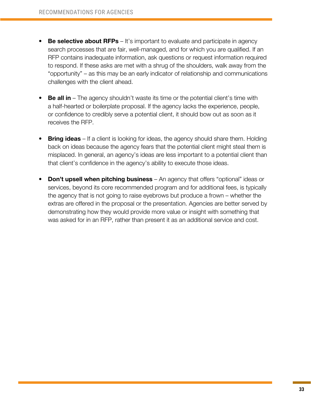- **Be selective about RFPs** It's important to evaluate and participate in agency search processes that are fair, well-managed, and for which you are qualified. If an RFP contains inadequate information, ask questions or request information required to respond. If these asks are met with a shrug of the shoulders, walk away from the "opportunity" – as this may be an early indicator of relationship and communications challenges with the client ahead.
- **Be all in** The agency shouldn't waste its time or the potential client's time with a half-hearted or boilerplate proposal. If the agency lacks the experience, people, or confidence to credibly serve a potential client, it should bow out as soon as it receives the RFP.
- **• Bring ideas** If a client is looking for ideas, the agency should share them. Holding back on ideas because the agency fears that the potential client might steal them is misplaced. In general, an agency's ideas are less important to a potential client than that client's confidence in the agency's ability to execute those ideas.
- **• Don't upsell when pitching business** An agency that offers "optional" ideas or services, beyond its core recommended program and for additional fees, is typically the agency that is not going to raise eyebrows but produce a frown – whether the extras are offered in the proposal or the presentation. Agencies are better served by demonstrating how they would provide more value or insight with something that was asked for in an RFP, rather than present it as an additional service and cost.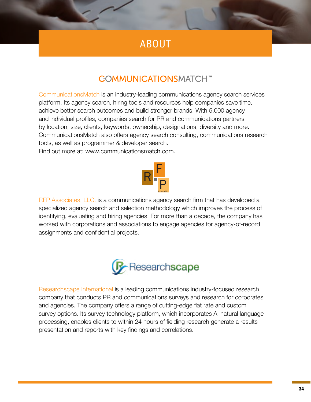### ABOUT

#### **COMMUNICATIONSMATCH™**

<span id="page-33-0"></span>[CommunicationsMatch](https://www.communicationsmatch.com/) is an industry-leading communications agency search services platform. Its agency search, hiring tools and resources help companies save time, achieve better search outcomes and build stronger brands. With 5,000 agency and individual profiles, companies search for PR and communications partners by location, size, clients, keywords, ownership, designations, diversity and more. CommunicationsMatch also offers agency search consulting, communications research tools, as well as programmer & developer search. Find out more at: www.communicationsmatch.com.



[RFP Associates, LLC.](https://www.rfpassociates.net/) is a communications agency search firm that has developed a specialized agency search and selection methodology which improves the process of identifying, evaluating and hiring agencies. For more than a decade, the company has worked with corporations and associations to engage agencies for agency-of-record assignments and confidential projects.



[Researchscape International](http://www.researchscape.com/) is a leading communications industry-focused research company that conducts PR and communications surveys and research for corporates and agencies. The company offers a range of cutting-edge flat rate and custom survey options. Its survey technology platform, which incorporates AI natural language processing, enables clients to within 24 hours of fielding research generate a results presentation and reports with key findings and correlations.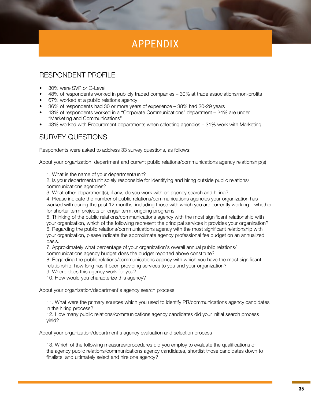### APPENDIX

#### <span id="page-34-0"></span>RESPONDENT PROFILE

- 30% were SVP or C-Level
- 48% of respondents worked in publicly traded companies 30% at trade associations/non-profits
- 67% worked at a public relations agency
- 36% of respondents had 30 or more years of experience 38% had 20-29 years
- 43% of respondents worked in a "Corporate Communications" department 24% are under "Marketing and Communications"
- 43% worked with Procurement departments when selecting agencies 31% work with Marketing

#### SURVEY QUESTIONS

Respondents were asked to address 33 survey questions, as follows:

About your organization, department and current public relations/communications agency relationship(s)

1. What is the name of your department/unit?

2. Is your department/unit solely responsible for identifying and hiring outside public relations/ communications agencies?

3. What other department(s), if any, do you work with on agency search and hiring?

4. Please indicate the number of public relations/communications agencies your organization has worked with during the past 12 months, including those with which you are currently working – whether for shorter term projects or longer term, ongoing programs.

5. Thinking of the public relations/communications agency with the most significant relationship with your organization, which of the following represent the principal services it provides your organization? 6. Regarding the public relations/communications agency with the most significant relationship with your organization, please indicate the approximate agency professional fee budget on an annualized basis.

7. Approximately what percentage of your organization's overall annual public relations/

communications agency budget does the budget reported above constitute?

8. Regarding the public relations/communications agency with which you have the most significant relationship, how long has it been providing services to you and your organization?

9. Where does this agency work for you?

10. How would you characterize this agency?

About your organization/department's agency search process

11. What were the primary sources which you used to identify PR/communications agency candidates in the hiring process?

12. How many public relations/communications agency candidates did your initial search process yield?

About your organization/department's agency evaluation and selection process

13. Which of the following measures/procedures did you employ to evaluate the qualifications of the agency public relations/communications agency candidates, shortlist those candidates down to finalists, and ultimately select and hire one agency?